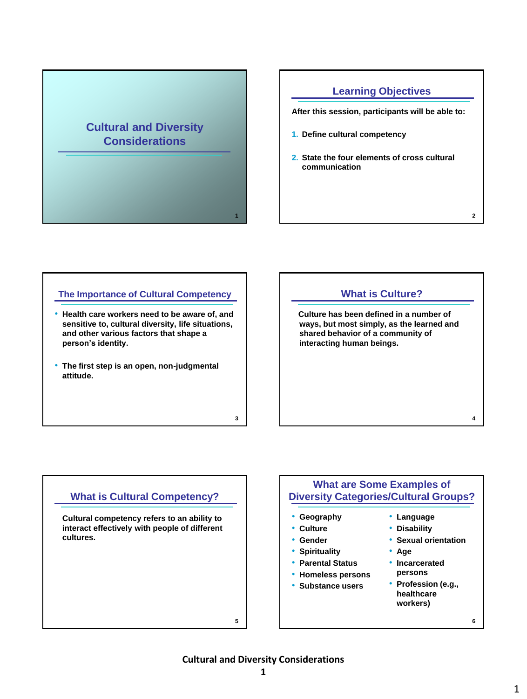# **Cultural and Diversity Considerations**

# **Learning Objectives**

**After this session, participants will be able to:**

- **1. Define cultural competency**
- **2. State the four elements of cross cultural communication**

#### **The Importance of Cultural Competency**

- **Health care workers need to be aware of, and sensitive to, cultural diversity, life situations, and other various factors that shape a person's identity.**
- **The first step is an open, non-judgmental attitude.**



# **What is Cultural Competency? Cultural competency refers to an ability to interact effectively with people of different cultures.**

#### **What are Some Examples of Diversity Categories/Cultural Groups?** • **Geography** • **Culture** • **Gender** • **Spirituality** • **Parental Status** • **Homeless persons** • **Substance users 6** • **Language** • **Disability** • **Sexual orientation** • **Age** • **Incarcerated persons** • **Profession (e.g., healthcare workers)**

**5**

**1**

**3**

**Cultural and Diversity Considerations**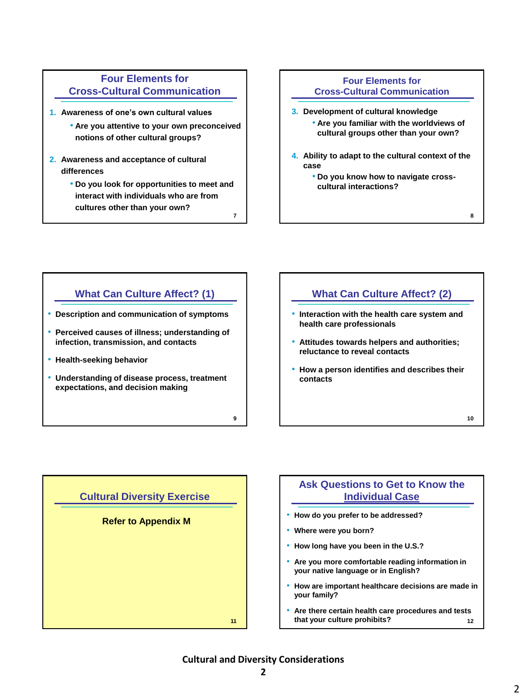### **Four Elements for Cross-Cultural Communication**

- **1. Awareness of one's own cultural values**
	- **Are you attentive to your own preconceived notions of other cultural groups?**
- **2. Awareness and acceptance of cultural differences** 
	- **Do you look for opportunities to meet and interact with individuals who are from cultures other than your own? 7**

#### **Four Elements for Cross-Cultural Communication**

- **3. Development of cultural knowledge** • **Are you familiar with the worldviews of cultural groups other than your own?**
- **4. Ability to adapt to the cultural context of the case**
	- **Do you know how to navigate crosscultural interactions?**

#### **What Can Culture Affect? (1)**

- **Description and communication of symptoms**
- **Perceived causes of illness; understanding of infection, transmission, and contacts**
- **Health-seeking behavior**
- **Understanding of disease process, treatment expectations, and decision making**

# **What Can Culture Affect? (2)**

- **Interaction with the health care system and health care professionals**
- **Attitudes towards helpers and authorities; reluctance to reveal contacts**
- **How a person identifies and describes their contacts**

**10**

**8**



#### **Ask Questions to Get to Know the Individual Case**

- **How do you prefer to be addressed?**
- **Where were you born?**
- **How long have you been in the U.S.?**
- **Are you more comfortable reading information in your native language or in English?**
- **How are important healthcare decisions are made in your family?**
- **Are there certain health care procedures and tests that your culture prohibits? 12**

#### **Cultural and Diversity Considerations**

**9**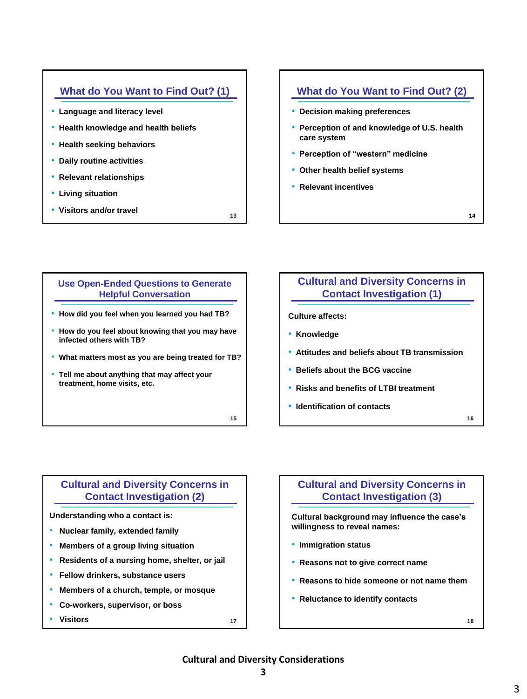# **What do You Want to Find Out? (1)**

- **Language and literacy level**
- **Health knowledge and health beliefs**
- **Health seeking behaviors**
- **Daily routine activities**
- **Relevant relationships**
- **Living situation**
- **Visitors and/or travel**

### **What do You Want to Find Out? (2)**

- **Decision making preferences**
- **Perception of and knowledge of U.S. health care system**
- **Perception of "western" medicine**
- **Other health belief systems**
- **Relevant incentives**

**14**

# **Use Open-Ended Questions to Generate Helpful Conversation**

- **How did you feel when you learned you had TB?**
- **How do you feel about knowing that you may have infected others with TB?**
- **What matters most as you are being treated for TB?**
- **Tell me about anything that may affect your treatment, home visits, etc.**

**15**

**13**

# **Cultural and Diversity Concerns in Contact Investigation (1)**

**Culture affects:**

- **Knowledge**
- **Attitudes and beliefs about TB transmission**
- **Beliefs about the BCG vaccine**
- **Risks and benefits of LTBI treatment**
- **Identification of contacts**

**16**

# **Cultural and Diversity Concerns in Contact Investigation (2)**

**Understanding who a contact is:**

- **Nuclear family, extended family**
- **Members of a group living situation**
- **Residents of a nursing home, shelter, or jail**
- **Fellow drinkers, substance users**
- **Members of a church, temple, or mosque**
- **Co-workers, supervisor, or boss**
- **Visitors <sup>17</sup>**

#### **Cultural and Diversity Concerns in Contact Investigation (3)**

**Cultural background may influence the case's willingness to reveal names:**

- **Immigration status**
- **Reasons not to give correct name**
- **Reasons to hide someone or not name them**
- **Reluctance to identify contacts**

#### **Cultural and Diversity Considerations**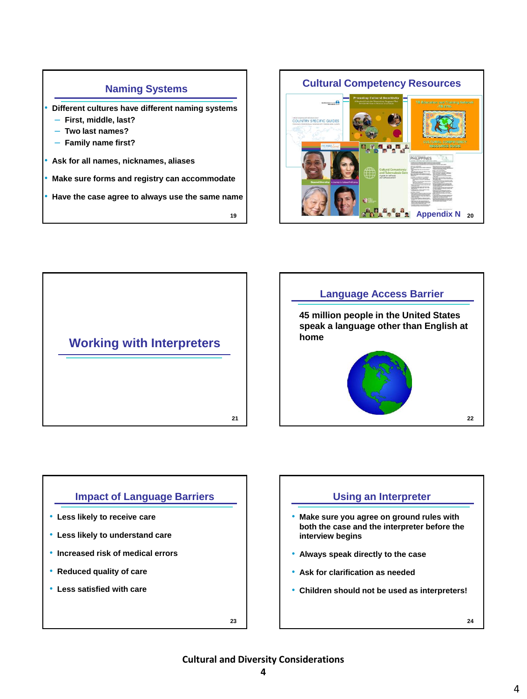#### **Naming Systems**

• **Different cultures have different naming systems**

- ‒ **First, middle, last?**
- ‒ **Two last names?**
- ‒ **Family name first?**
- **Ask for all names, nicknames, aliases**
- **Make sure forms and registry can accommodate**
- **Have the case agree to always use the same name**

**19**







#### **Impact of Language Barriers**

- **Less likely to receive care**
- **Less likely to understand care**
- **Increased risk of medical errors**
- **Reduced quality of care**
- **Less satisfied with care**

**23**

#### **Using an Interpreter**

- **Make sure you agree on ground rules with both the case and the interpreter before the interview begins**
- **Always speak directly to the case**
- **Ask for clarification as needed**
- **Children should not be used as interpreters!**

#### **Cultural and Diversity Considerations**